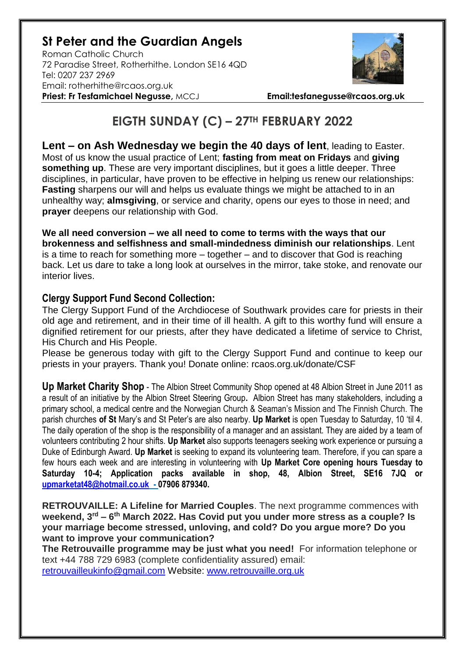## **St Peter and the Guardian Angels**

Roman Catholic Church 72 Paradise Street, Rotherhithe. London SE16 4QD [Tel: 0207](tel:0207) 237 2969 Email: rotherhithe@rcaos.org.uk **Priest: Fr Tesfamichael Negusse,** MCCJ **Email:tesfanegusse@rcaos.org.uk**



## **EIGTH SUNDAY (C) – 27TH FEBRUARY 2022**

**Lent – on Ash Wednesday we begin the 40 days of lent**, leading to Easter. Most of us know the usual practice of Lent; **fasting from meat on Fridays** and **giving something up**. These are very important disciplines, but it goes a little deeper. Three disciplines, in particular, have proven to be effective in helping us renew our relationships: **Fasting** sharpens our will and helps us evaluate things we might be attached to in an unhealthy way; **almsgiving**, or service and charity, opens our eyes to those in need; and **prayer** deepens our relationship with God.

**We all need conversion – we all need to come to terms with the ways that our brokenness and selfishness and small-mindedness diminish our relationships**. Lent is a time to reach for something more – together – and to discover that God is reaching back. Let us dare to take a long look at ourselves in the mirror, take stoke, and renovate our interior lives.

## **Clergy Support Fund Second Collection:**

The Clergy Support Fund of the Archdiocese of Southwark provides care for priests in their old age and retirement, and in their time of ill health. A gift to this worthy fund will ensure a dignified retirement for our priests, after they have dedicated a lifetime of service to Christ, His Church and His People.

Please be generous today with gift to the Clergy Support Fund and continue to keep our priests in your prayers. Thank you! Donate online: rcaos.org.uk/donate/CSF

**Up Market Charity Shop** - The Albion Street Community Shop opened at 48 Albion Street in June 2011 as a result of an initiative by the Albion Street Steering Group**.** Albion Street has many stakeholders, including a primary school, a medical centre and the Norwegian Church & Seaman's Mission and The Finnish Church. The parish churches **of St** Mary's and St Peter's are also nearby. **Up Market** is open Tuesday to Saturday, 10 'til 4. The daily operation of the shop is the responsibility of a manager and an assistant. They are aided by a team of volunteers contributing 2 hour shifts. **Up Market** also supports teenagers seeking work experience or pursuing a Duke of Edinburgh Award. **Up Market** is seeking to expand its volunteering team. Therefore, if you can spare a few hours each week and are interesting in volunteering with **Up Market Core opening hours Tuesday to Saturday 10-4; Application packs available in shop, 48, Albion Street, SE16 7JQ or [upmarketat48@hotmail.co.uk](mailto:upmarketat48@hotmail.co.uk) - 07906 879340.**

**RETROUVAILLE: A Lifeline for Married Couples**. The next programme commences with **weekend, 3rd – 6 th March 2022. Has Covid put you under more stress as a couple? Is your marriage become stressed, unloving, and cold? Do you argue more? Do you want to improve your communication?** 

**The Retrouvaille programme may be just what you need!** For information telephone or text +44 788 729 6983 (complete confidentiality assured) email: [retrouvailleukinfo@gmail.com](mailto:retrouvailleukinfo@gmail.com) Website: [www.retrouvaille.org.uk](http://www.retrouvaille.org.uk/)